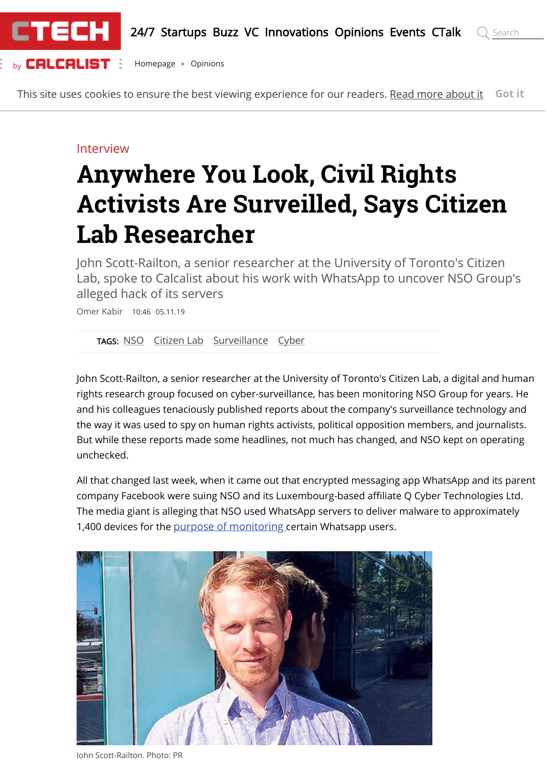

This site uses cookies to ensure the best viewing experience for our readers. [Read more about it](https://www.calcalistech.com/ctech/home/0,7340,L-5249,00.html) **Got it**

### Interview

# **Anywhere You Look, Civil Rights Activists Are Surveilled, Says Citizen Lab Researcher**

John Scott-Railton, a senior researcher at the University of Toronto's Citizen Lab, spoke to Calcalist about his work with WhatsApp to uncover NSO Group's alleged hack of its servers

Omer Kabir 10:46 05.11.19

[TAGS:](https://www.calcalistech.com/ctech/home/0,7340,L-5492,00.html) [NSO](https://www.calcalistech.com/ctech/home/0,7340,L-5492-77009,00.html) [Citizen Lab](https://www.calcalistech.com/ctech/home/0,7340,L-5492-201798,00.html) [Surveillance](https://www.calcalistech.com/ctech/home/0,7340,L-5492-192372,00.html) [Cyber](https://www.calcalistech.com/ctech/home/0,7340,L-5492-134547,00.html)

John Scott-Railton, a senior researcher at the University of Toronto's Citizen Lab, a digital and human rights research group focused on cyber-surveillance, has been monitoring NSO Group for years. He and his colleagues tenaciously published reports about the company's surveillance technology and the way it was used to spy on human rights activists, political opposition members, and journalists. But while these reports made some headlines, not much has changed, and NSO kept on operating unchecked.

All that changed last week, when it came out that encrypted messaging app WhatsApp and its parent company Facebook were suing NSO and its Luxembourg-based affiliate Q Cyber Technologies Ltd. The media giant is alleging that NSO used WhatsApp servers to deliver malware to approximately 1,400 devices for the [purpose of monitoring](https://www.calcalistech.com/ctech/articles/0,7340,L-3772725,00.html) certain Whatsapp users.



John Scott-Railton. Photo: PR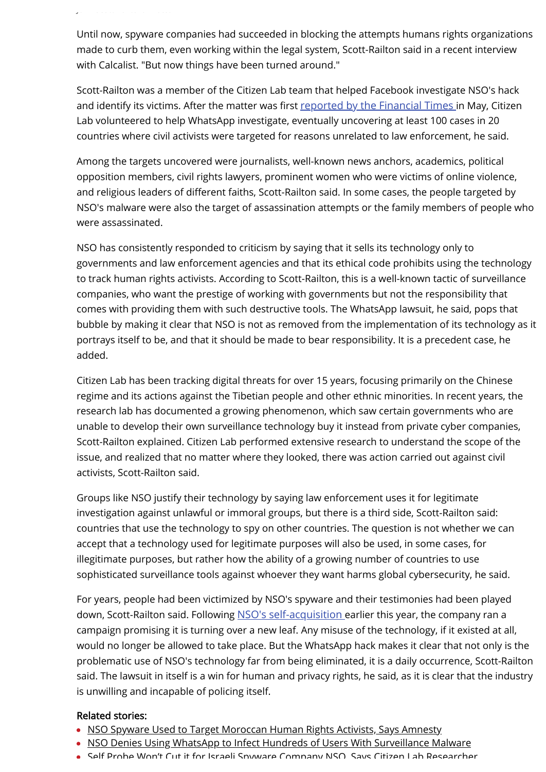Until now, spyware companies had succeeded in blocking the attempts humans rights organizations made to curb them, even working within the legal system, Scott-Railton said in a recent interview with Calcalist. "But now things have been turned around."

Scott-Railton was a member of the Citizen Lab team that helped Facebook investigate NSO's hack and identify its victims. After the matter was first [reported by the Financial Times](https://www.ft.com/content/4da1117e-756c-11e9-be7d-6d846537acab) in May, Citizen Lab volunteered to help WhatsApp investigate, eventually uncovering at least 100 cases in 20 countries where civil activists were targeted for reasons unrelated to law enforcement, he said.

Among the targets uncovered were journalists, well-known news anchors, academics, political opposition members, civil rights lawyers, prominent women who were victims of online violence, and religious leaders of different faiths, Scott-Railton said. In some cases, the people targeted by NSO's malware were also the target of assassination attempts or the family members of people who were assassinated.

NSO has consistently responded to criticism by saying that it sells its technology only to governments and law enforcement agencies and that its ethical code prohibits using the technology to track human rights activists. According to Scott-Railton, this is a well-known tactic of surveillance companies, who want the prestige of working with governments but not the responsibility that comes with providing them with such destructive tools. The WhatsApp lawsuit, he said, pops that bubble by making it clear that NSO is not as removed from the implementation of its technology as it portrays itself to be, and that it should be made to bear responsibility. It is a precedent case, he added.

Citizen Lab has been tracking digital threats for over 15 years, focusing primarily on the Chinese regime and its actions against the Tibetian people and other ethnic minorities. In recent years, the research lab has documented a growing phenomenon, which saw certain governments who are unable to develop their own surveillance technology buy it instead from private cyber companies, Scott-Railton explained. Citizen Lab performed extensive research to understand the scope of the issue, and realized that no matter where they looked, there was action carried out against civil activists, Scott-Railton said.

Groups like NSO justify their technology by saying law enforcement uses it for legitimate investigation against unlawful or immoral groups, but there is a third side, Scott-Railton said: countries that use the technology to spy on other countries. The question is not whether we can accept that a technology used for legitimate purposes will also be used, in some cases, for illegitimate purposes, but rather how the ability of a growing number of countries to use sophisticated surveillance tools against whoever they want harms global cybersecurity, he said.

For years, people had been victimized by NSO's spyware and their testimonies had been played down, Scott-Railton said. Following [NSO's self-acquisition](https://www.calcalistech.com/ctech/articles/0,7340,L-3758232,00.html) earlier this year, the company ran a campaign promising it is turning over a new leaf. Any misuse of the technology, if it existed at all, would no longer be allowed to take place. But the WhatsApp hack makes it clear that not only is the problematic use of NSO's technology far from being eliminated, it is a daily occurrence, Scott-Railton said. The lawsuit in itself is a win for human and privacy rights, he said, as it is clear that the industry is unwilling and incapable of policing itself.

#### Related stories:

John Scott Railton. Photo: PR

- [NSO Spyware Used to Target Moroccan Human Rights Activists, Says Amnesty](https://www.calcalistech.com/ctech/articles/0,7340,L-3771734,00.html)
- [NSO Denies Using WhatsApp to Infect Hundreds of Users With Surveillance Malware](https://www.calcalistech.com/ctech/articles/0,7340,L-3772725,00.html)
- Self Probe Won't Cut it for Israeli Spyware Company NSO Says Citizen Lab [Researcher](https://www.calcalistech.com/ctech/articles/0,7340,L-3760604,00.html)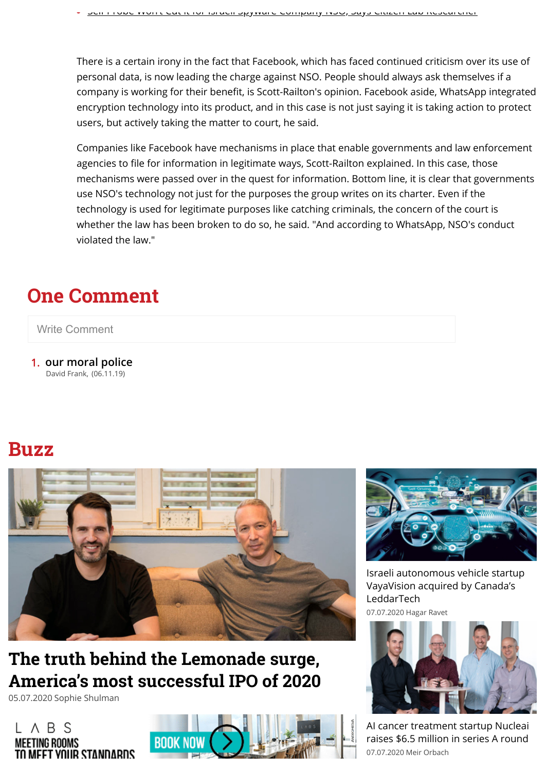There is a certain irony in the fact that Facebook, which has faced continued criticism over its use of personal data, is now leading the charge against NSO. People should always ask themselves if a company is working for their benefit, is Scott-Railton's opinion. Facebook aside, WhatsApp integrated encryption technology into its product, and in this case is not just saying it is taking action to protect users, but actively taking the matter to court, he said.

Companies like Facebook have mechanisms in place that enable governments and law enforcement agencies to file for information in legitimate ways, Scott-Railton explained. In this case, those mechanisms were passed over in the quest for information. Bottom line, it is clear that governments use NSO's technology not just for the purposes the group writes on its charter. Even if the technology is used for legitimate purposes like catching criminals, the concern of the court is whether the law has been broken to do so, he said. "And according to WhatsApp, NSO's conduct violated the law."

## **One Comment**

#### Write Comment

1. **our moral police** David Frank, (06.11.19)

### **Buzz**



### **The truth behind the Lemonade surge, [America's most successful IPO of 2020](https://www.calcalistech.com/ctech/articles/0,7340,L-3838000,00.html)**

05.07.2020 Sophie Shulman







[Israeli autonomous vehicle startup](https://www.calcalistech.com/ctech/articles/0,7340,L-3838371,00.html) VayaVision acquired by Canada's LeddarTech 07.07.2020 Hagar Ravet



[AI cancer treatment startup Nucleai](https://www.calcalistech.com/ctech/articles/0,7340,L-3838379,00.html) raises \$6.5 million in series A round 07.07.2020 Meir Orbach